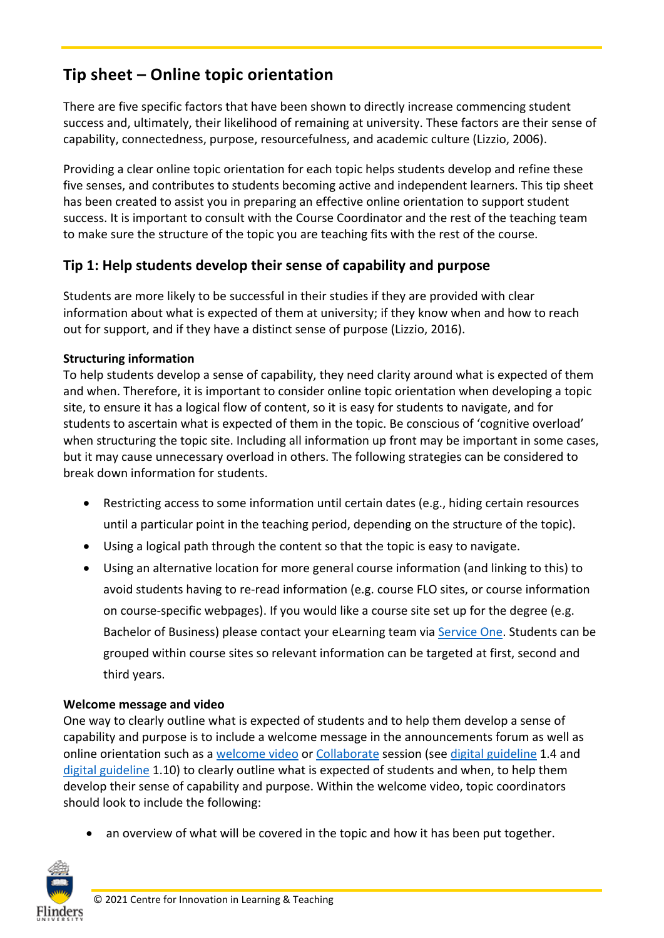# **Tip sheet – Online topic orientation**

There are five specific factors that have been shown to directly increase commencing student success and, ultimately, their likelihood of remaining at university. These factors are their sense of capability, connectedness, purpose, resourcefulness, and academic culture (Lizzio, 2006).

Providing a clear online topic orientation for each topic helps students develop and refine these five senses, and contributes to students becoming active and independent learners. This tip sheet has been created to assist you in preparing an effective online orientation to support student success. It is important to consult with the Course Coordinator and the rest of the teaching team to make sure the structure of the topic you are teaching fits with the rest of the course.

## **Tip 1: Help students develop their sense of capability and purpose**

Students are more likely to be successful in their studies if they are provided with clear information about what is expected of them at university; if they know when and how to reach out for support, and if they have a distinct sense of purpose (Lizzio, 2016).

### **Structuring information**

To help students develop a sense of capability, they need clarity around what is expected of them and when. Therefore, it is important to consider online topic orientation when developing a topic site, to ensure it has a logical flow of content, so it is easy for students to navigate, and for students to ascertain what is expected of them in the topic. Be conscious of 'cognitive overload' when structuring the topic site. Including all information up front may be important in some cases, but it may cause unnecessary overload in others. The following strategies can be considered to break down information for students.

- Restricting access to some information until certain dates (e.g., hiding certain resources until a particular point in the teaching period, depending on the structure of the topic).
- Using a logical path through the content so that the topic is easy to navigate.
- Using an alternative location for more general course information (and linking to this) to avoid students having to re-read information (e.g. course FLO sites, or course information on course-specific webpages). If you would like a course site set up for the degree (e.g. Bachelor of Business) please contact your eLearning team via [Service One.](https://flindersuni.service-now.com/csp?id=sc_cat_item&sys_id=a269f98cdb07b700c8e096888a9619a3&sysparm_category=84fbcfabdb19f700a42c42a014961908) Students can be grouped within course sites so relevant information can be targeted at first, second and third years.

#### **Welcome message and video**

One way to clearly outline what is expected of students and to help them develop a sense of capability and purpose is to include a welcome message in the announcements forum as well as online orientation such as a [welcome video](https://flo.flinders.edu.au/mod/glossary/showentry.php?courseid=151&eid=106000&displayformat=dictionary) or [Collaborate](https://flo.flinders.edu.au/mod/glossary/showentry.php?courseid=151&eid=87361&displayformat=dictionary) session (see [digital guideline](https://staff.flinders.edu.au/learning-teaching/digital-learning) 1.4 and [digital guideline](https://staff.flinders.edu.au/learning-teaching/digital-learning) 1.10) to clearly outline what is expected of students and when, to help them develop their sense of capability and purpose. Within the welcome video, topic coordinators should look to include the following:

• an overview of what will be covered in the topic and how it has been put together.

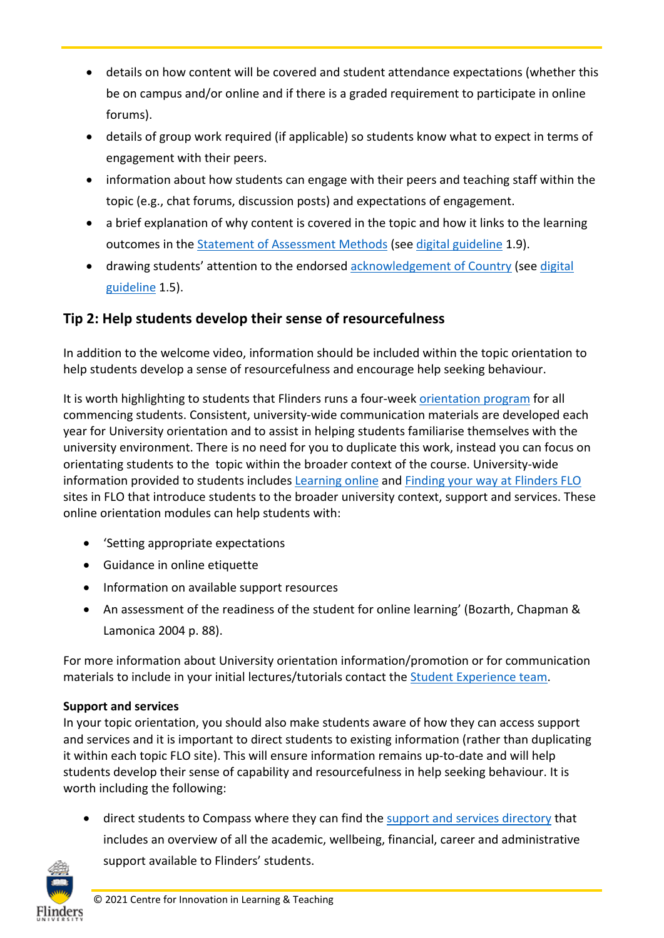- details on how content will be covered and student attendance expectations (whether this be on campus and/or online and if there is a graded requirement to participate in online forums).
- details of group work required (if applicable) so students know what to expect in terms of engagement with their peers.
- information about how students can engage with their peers and teaching staff within the topic (e.g., chat forums, discussion posts) and expectations of engagement.
- a brief explanation of why content is covered in the topic and how it links to the learning outcomes in the [Statement of Assessment Methods](https://flo.flinders.edu.au/mod/glossary/showentry.php?courseid=151&eid=104522&displayformat=dictionary) (see [digital guideline](https://staff.flinders.edu.au/learning-teaching/digital-learning) 1.9).
- drawing students' attention to the endorsed [acknowledgement of Country](https://staff.flinders.edu.au/content/dam/staff/learning-teaching/guides/culturally-responsive-digital-learning.pdf) (see [digital](https://staff.flinders.edu.au/learning-teaching/digital-learning)  [guideline](https://staff.flinders.edu.au/learning-teaching/digital-learning) 1.5).

# **Tip 2: Help students develop their sense of resourcefulness**

In addition to the welcome video, information should be included within the topic orientation to help students develop a sense of resourcefulness and encourage help seeking behaviour.

It is worth highlighting to students that Flinders runs a four-week [orientation program](https://students.flinders.edu.au/orientation) for all commencing students. Consistent, university-wide communication materials are developed each year for University orientation and to assist in helping students familiarise themselves with the university environment. There is no need for you to duplicate this work, instead you can focus on orientating students to the topic within the broader context of the course. University-wide information provided to students includes [Learning online](https://flo.flinders.edu.au/course/view.php?id=63069) and [Finding your way at Flinders](https://flo.flinders.edu.au/enrol/index.php?id=66224) FLO sites in FLO that introduce students to the broader university context, support and services. These online orientation modules can help students with:

- 'Setting appropriate expectations
- Guidance in online etiquette
- Information on available support resources
- An assessment of the readiness of the student for online learning' (Bozarth, Chapman & Lamonica 2004 p. 88).

For more information about University orientation information/promotion or for communication materials to include in your initial lectures/tutorials contact the [Student Experience team.](https://staff.flinders.edu.au/colleges-and-services/student-experience)

### **Support and services**

In your topic orientation, you should also make students aware of how they can access support and services and it is important to direct students to existing information (rather than duplicating it within each topic FLO site). This will ensure information remains up-to-date and will help students develop their sense of capability and resourcefulness in help seeking behaviour. It is worth including the following:

• direct students to Compass where they can find the [support and services directory](https://students.flinders.edu.au/support) that includes an overview of all the academic, wellbeing, financial, career and administrative support available to Flinders' students.

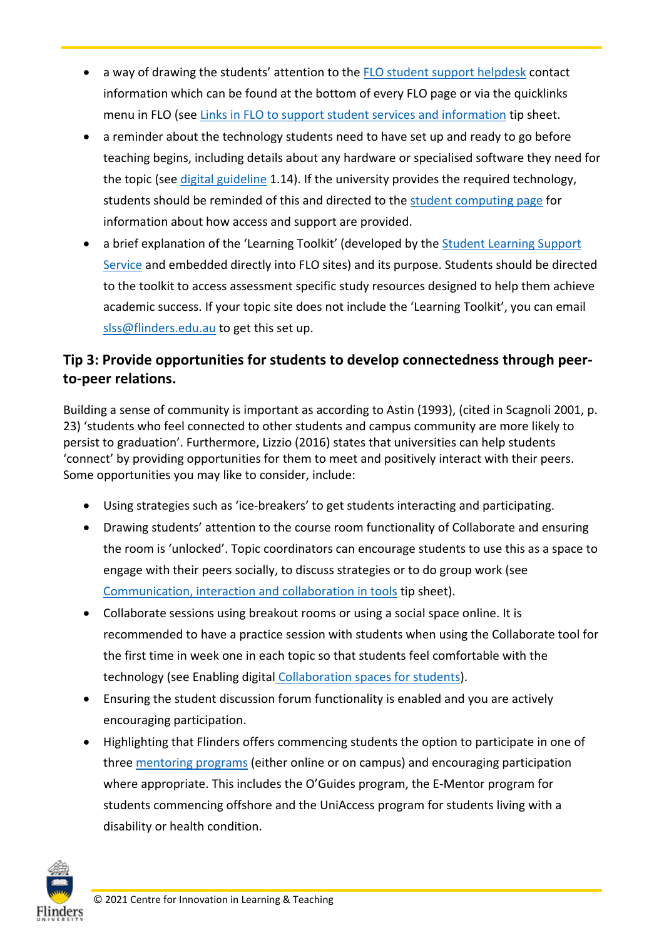- a way of drawing the students' attention to the [FLO student support helpdesk](https://flo.flinders.edu.au/course/view.php?id=162) contact information which can be found at the bottom of every FLO page or via the quicklinks menu in FLO (see [Links in FLO to support student services and information](https://staff.flinders.edu.au/content/dam/staff/learning-teaching/guides/links-flo-support.pdf) tip sheet.
- a reminder about the technology students need to have set up and ready to go before teaching begins, including details about any hardware or specialised software they need for the topic (see [digital guideline](https://staff.flinders.edu.au/learning-teaching/digital-learning) 1.14). If the university provides the required technology, students should be reminded of this and directed to the [student computing page](https://students.flinders.edu.au/support/computing) for information about how access and support are provided.
- a brief explanation of the 'Learning Toolkit' (developed by the **Student Learning Support** [Service](https://www.youtube.com/watch?v=HHYKxEKhFUw) and embedded directly into FLO sites) and its purpose. Students should be directed to the toolkit to access assessment specific study resources designed to help them achieve academic success. If your topic site does not include the 'Learning Toolkit', you can email [slss@flinders.edu.au](mailto:slss@flinders.edu.au) to get this set up.

# **Tip 3: Provide opportunities for students to develop connectedness through peerto-peer relations.**

Building a sense of community is important as according to Astin (1993), (cited in Scagnoli 2001, p. 23) 'students who feel connected to other students and campus community are more likely to persist to graduation'. Furthermore, Lizzio (2016) states that universities can help students 'connect' by providing opportunities for them to meet and positively interact with their peers. Some opportunities you may like to consider, include:

- Using strategies such as 'ice-breakers' to get students interacting and participating.
- Drawing students' attention to the course room functionality of Collaborate and ensuring the room is 'unlocked'. Topic coordinators can encourage students to use this as a space to engage with their peers socially, to discuss strategies or to do group work (see [Communication, interaction and collaboration in tools](https://staff.flinders.edu.au/content/dam/staff/learning-teaching/guides/communication-interaction-collaboration.pdf) tip sheet).
- Collaborate sessions using breakout rooms or using a social space online. It is recommended to have a practice session with students when using the Collaborate tool for the first time in week one in each topic so that students feel comfortable with the technology (see Enabling digital [Collaboration spaces for students\)](https://flo.flinders.edu.au/mod/glossary/showentry.php?courseid=151&eid=109740&displayformat=dictionary).
- Ensuring the student discussion forum functionality is enabled and you are actively encouraging participation.
- Highlighting that Flinders offers commencing students the option to participate in one of three [mentoring programs](https://students.flinders.edu.au/new-students/flinders-mentoring-programs) (either online or on campus) and encouraging participation where appropriate. This includes the O'Guides program, the E-Mentor program for students commencing offshore and the UniAccess program for students living with a disability or health condition.